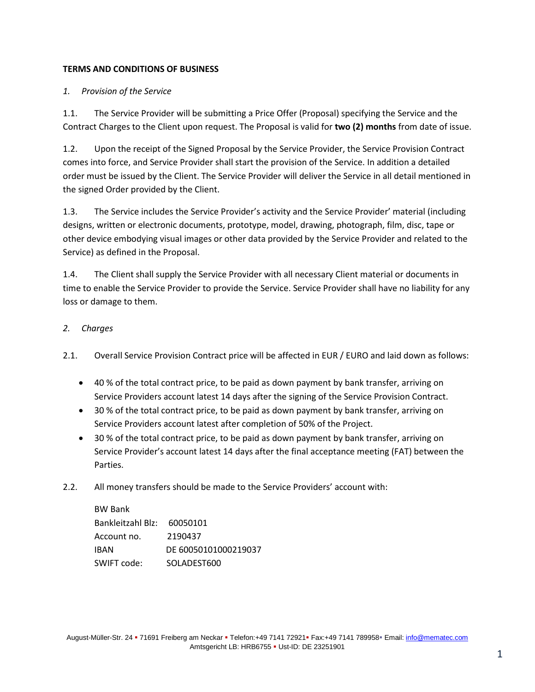### **TERMS AND CONDITIONS OF BUSINESS**

#### *1. Provision of the Service*

1.1. The Service Provider will be submitting a Price Offer (Proposal) specifying the Service and the Contract Charges to the Client upon request. The Proposal is valid for **two (2) months** from date of issue.

1.2. Upon the receipt of the Signed Proposal by the Service Provider, the Service Provision Contract comes into force, and Service Provider shall start the provision of the Service. In addition a detailed order must be issued by the Client. The Service Provider will deliver the Service in all detail mentioned in the signed Order provided by the Client.

1.3. The Service includes the Service Provider's activity and the Service Provider' material (including designs, written or electronic documents, prototype, model, drawing, photograph, film, disc, tape or other device embodying visual images or other data provided by the Service Provider and related to the Service) as defined in the Proposal.

1.4. The Client shall supply the Service Provider with all necessary Client material or documents in time to enable the Service Provider to provide the Service. Service Provider shall have no liability for any loss or damage to them.

#### *2. Charges*

2.1. Overall Service Provision Contract price will be affected in EUR / EURO and laid down as follows:

- 40 % of the total contract price, to be paid as down payment by bank transfer, arriving on Service Providers account latest 14 days after the signing of the Service Provision Contract.
- 30 % of the total contract price, to be paid as down payment by bank transfer, arriving on Service Providers account latest after completion of 50% of the Project.
- 30 % of the total contract price, to be paid as down payment by bank transfer, arriving on Service Provider's account latest 14 days after the final acceptance meeting (FAT) between the Parties.
- 2.2. All money transfers should be made to the Service Providers' account with:

| <b>BW Bank</b>    |                      |
|-------------------|----------------------|
| Bankleitzahl Blz: | 60050101             |
| Account no.       | 2190437              |
| <b>IBAN</b>       | DE 60050101000219037 |
| SWIFT code:       | SOLADEST600          |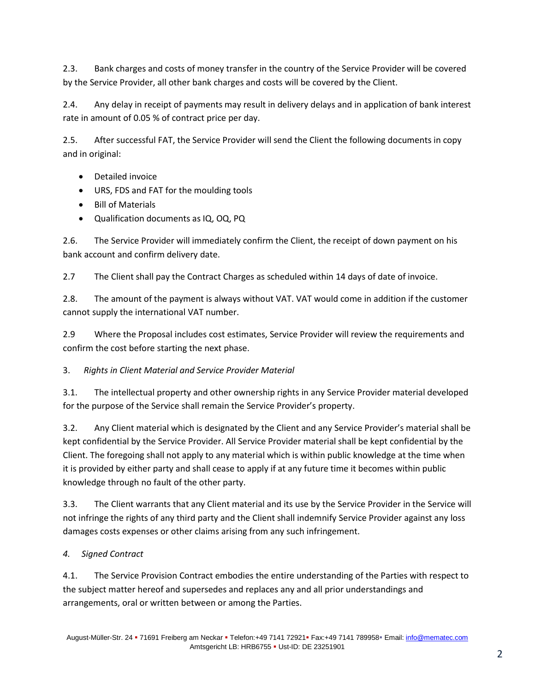2.3. Bank charges and costs of money transfer in the country of the Service Provider will be covered by the Service Provider, all other bank charges and costs will be covered by the Client.

2.4. Any delay in receipt of payments may result in delivery delays and in application of bank interest rate in amount of 0.05 % of contract price per day.

2.5. After successful FAT, the Service Provider will send the Client the following documents in copy and in original:

- Detailed invoice
- URS, FDS and FAT for the moulding tools
- Bill of Materials
- Qualification documents as IQ, OQ, PQ

2.6. The Service Provider will immediately confirm the Client, the receipt of down payment on his bank account and confirm delivery date.

2.7 The Client shall pay the Contract Charges as scheduled within 14 days of date of invoice.

2.8. The amount of the payment is always without VAT. VAT would come in addition if the customer cannot supply the international VAT number.

2.9 Where the Proposal includes cost estimates, Service Provider will review the requirements and confirm the cost before starting the next phase.

### 3. *Rights in Client Material and Service Provider Material*

3.1. The intellectual property and other ownership rights in any Service Provider material developed for the purpose of the Service shall remain the Service Provider's property.

3.2. Any Client material which is designated by the Client and any Service Provider's material shall be kept confidential by the Service Provider. All Service Provider material shall be kept confidential by the Client. The foregoing shall not apply to any material which is within public knowledge at the time when it is provided by either party and shall cease to apply if at any future time it becomes within public knowledge through no fault of the other party.

3.3. The Client warrants that any Client material and its use by the Service Provider in the Service will not infringe the rights of any third party and the Client shall indemnify Service Provider against any loss damages costs expenses or other claims arising from any such infringement.

### *4. Signed Contract*

4.1. The Service Provision Contract embodies the entire understanding of the Parties with respect to the subject matter hereof and supersedes and replaces any and all prior understandings and arrangements, oral or written between or among the Parties.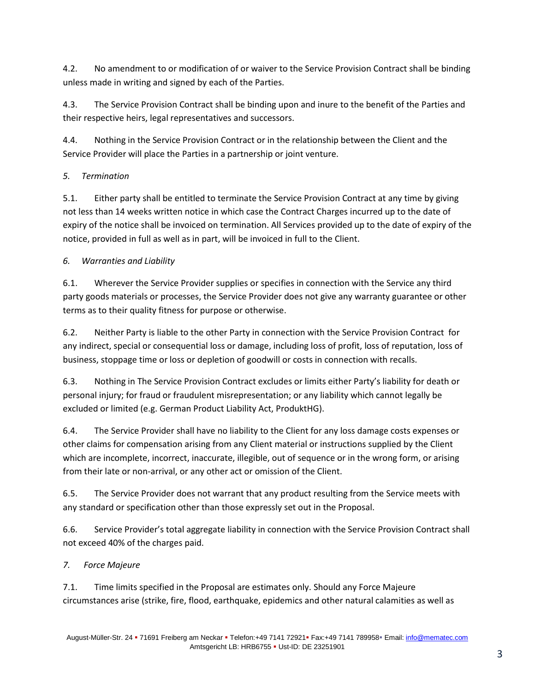4.2. No amendment to or modification of or waiver to the Service Provision Contract shall be binding unless made in writing and signed by each of the Parties.

4.3. The Service Provision Contract shall be binding upon and inure to the benefit of the Parties and their respective heirs, legal representatives and successors.

4.4. Nothing in the Service Provision Contract or in the relationship between the Client and the Service Provider will place the Parties in a partnership or joint venture.

## *5. Termination*

5.1. Either party shall be entitled to terminate the Service Provision Contract at any time by giving not less than 14 weeks written notice in which case the Contract Charges incurred up to the date of expiry of the notice shall be invoiced on termination. All Services provided up to the date of expiry of the notice, provided in full as well as in part, will be invoiced in full to the Client.

## *6. Warranties and Liability*

6.1. Wherever the Service Provider supplies or specifies in connection with the Service any third party goods materials or processes, the Service Provider does not give any warranty guarantee or other terms as to their quality fitness for purpose or otherwise.

6.2. Neither Party is liable to the other Party in connection with the Service Provision Contract for any indirect, special or consequential loss or damage, including loss of profit, loss of reputation, loss of business, stoppage time or loss or depletion of goodwill or costs in connection with recalls.

6.3. Nothing in The Service Provision Contract excludes or limits either Party's liability for death or personal injury; for fraud or fraudulent misrepresentation; or any liability which cannot legally be excluded or limited (e.g. German Product Liability Act, ProduktHG).

6.4. The Service Provider shall have no liability to the Client for any loss damage costs expenses or other claims for compensation arising from any Client material or instructions supplied by the Client which are incomplete, incorrect, inaccurate, illegible, out of sequence or in the wrong form, or arising from their late or non-arrival, or any other act or omission of the Client.

6.5. The Service Provider does not warrant that any product resulting from the Service meets with any standard or specification other than those expressly set out in the Proposal.

6.6. Service Provider's total aggregate liability in connection with the Service Provision Contract shall not exceed 40% of the charges paid.

# *7. Force Majeure*

7.1. Time limits specified in the Proposal are estimates only. Should any Force Majeure circumstances arise (strike, fire, flood, earthquake, epidemics and other natural calamities as well as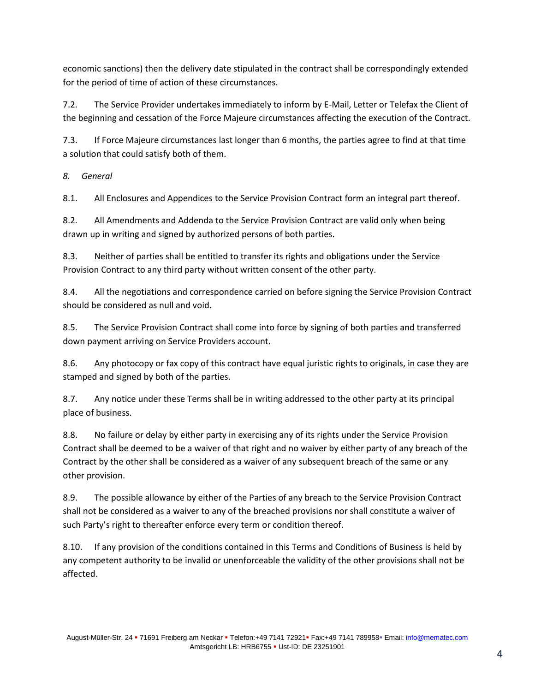economic sanctions) then the delivery date stipulated in the contract shall be correspondingly extended for the period of time of action of these circumstances.

7.2. The Service Provider undertakes immediately to inform by E-Mail, Letter or Telefax the Client of the beginning and cessation of the Force Majeure circumstances affecting the execution of the Contract.

7.3. If Force Majeure circumstances last longer than 6 months, the parties agree to find at that time a solution that could satisfy both of them.

*8. General*

8.1. All Enclosures and Appendices to the Service Provision Contract form an integral part thereof.

8.2. All Amendments and Addenda to the Service Provision Contract are valid only when being drawn up in writing and signed by authorized persons of both parties.

8.3. Neither of parties shall be entitled to transfer its rights and obligations under the Service Provision Contract to any third party without written consent of the other party.

8.4. All the negotiations and correspondence carried on before signing the Service Provision Contract should be considered as null and void.

8.5. The Service Provision Contract shall come into force by signing of both parties and transferred down payment arriving on Service Providers account.

8.6. Any photocopy or fax copy of this contract have equal juristic rights to originals, in case they are stamped and signed by both of the parties.

8.7. Any notice under these Terms shall be in writing addressed to the other party at its principal place of business.

8.8. No failure or delay by either party in exercising any of its rights under the Service Provision Contract shall be deemed to be a waiver of that right and no waiver by either party of any breach of the Contract by the other shall be considered as a waiver of any subsequent breach of the same or any other provision.

8.9. The possible allowance by either of the Parties of any breach to the Service Provision Contract shall not be considered as a waiver to any of the breached provisions nor shall constitute a waiver of such Party's right to thereafter enforce every term or condition thereof.

8.10. If any provision of the conditions contained in this Terms and Conditions of Business is held by any competent authority to be invalid or unenforceable the validity of the other provisions shall not be affected.